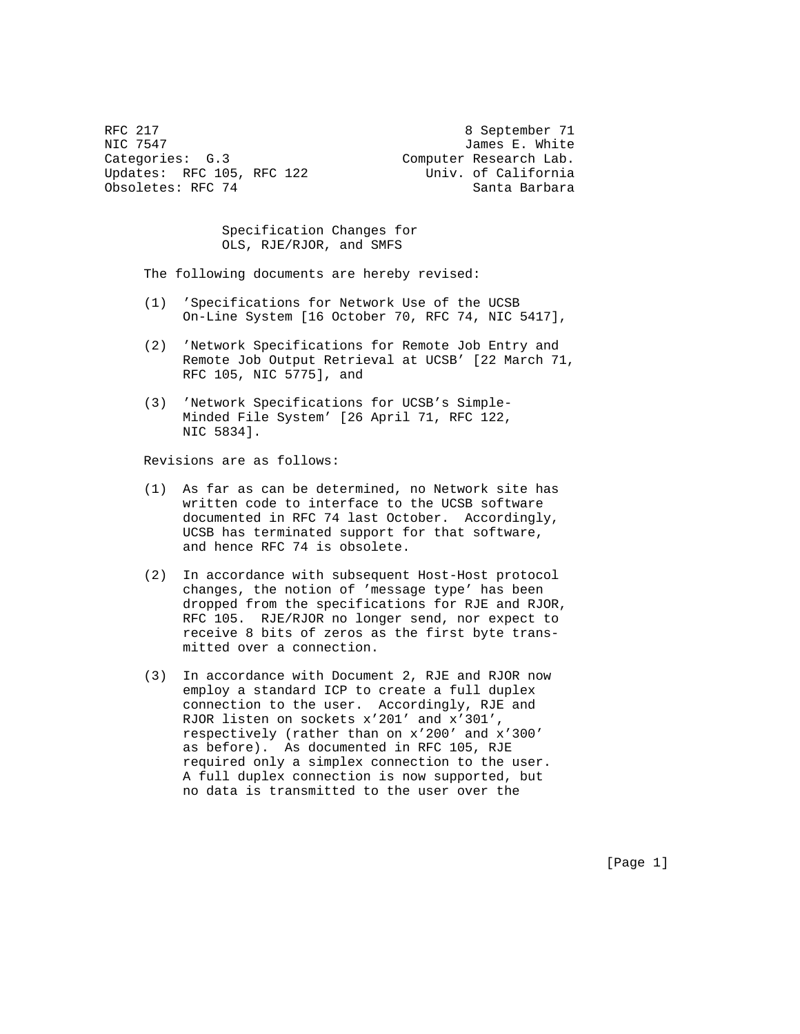RFC 217 8 September 71 NIC 7547 James E. White Categories: G.3 Computer Research Lab. Updates: RFC 105, RFC 122 Univ. of California Obsoletes: RFC 74 Santa Barbara

 Specification Changes for OLS, RJE/RJOR, and SMFS

The following documents are hereby revised:

- (1) 'Specifications for Network Use of the UCSB On-Line System [16 October 70, RFC 74, NIC 5417],
- (2) 'Network Specifications for Remote Job Entry and Remote Job Output Retrieval at UCSB' [22 March 71, RFC 105, NIC 5775], and
- (3) 'Network Specifications for UCSB's Simple- Minded File System' [26 April 71, RFC 122, NIC 5834].

Revisions are as follows:

- (1) As far as can be determined, no Network site has written code to interface to the UCSB software documented in RFC 74 last October. Accordingly, UCSB has terminated support for that software, and hence RFC 74 is obsolete.
- (2) In accordance with subsequent Host-Host protocol changes, the notion of 'message type' has been dropped from the specifications for RJE and RJOR, RFC 105. RJE/RJOR no longer send, nor expect to receive 8 bits of zeros as the first byte trans mitted over a connection.
- (3) In accordance with Document 2, RJE and RJOR now employ a standard ICP to create a full duplex connection to the user. Accordingly, RJE and RJOR listen on sockets x'201' and x'301', respectively (rather than on x'200' and x'300' as before). As documented in RFC 105, RJE required only a simplex connection to the user. A full duplex connection is now supported, but no data is transmitted to the user over the

[Page 1]